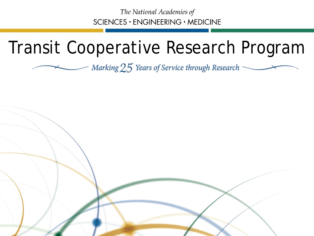The National Academies of SCIENCES · ENGINEERING · MEDICINE

#### Transit Cooperative Research Program

Marking 25 Years of Service through Research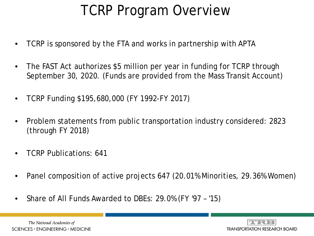#### TCRP Program Overview

- TCRP is sponsored by the FTA and works in partnership with APTA
- The FAST Act authorizes \$5 million per year in funding for TCRP through September 30, 2020. (Funds are provided from the Mass Transit Account)
- TCRP Funding \$195,680,000 (FY 1992-FY 2017)
- Problem statements from public transportation industry considered: 2823 (through FY 2018)
- TCRP Publications: 641
- Panel composition of active projects 647 (20.01% Minorities, 29.36% Women)
- Share of All Funds Awarded to DBEs: 29.0% (FY '97 '15)

The National Academies of  $SCIENCES · ENGINEERING · MEDICINE$ 

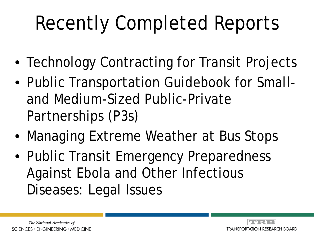## Recently Completed Reports

- Technology Contracting for Transit Projects
- Public Transportation Guidebook for Smalland Medium-Sized Public-Private Partnerships (P3s)
- Managing Extreme Weather at Bus Stops
- Public Transit Emergency Preparedness Against Ebola and Other Infectious Diseases: Legal Issues

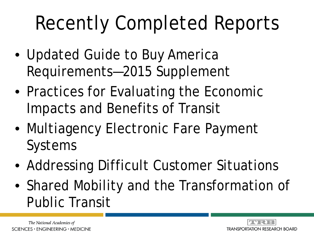## Recently Completed Reports

- Updated Guide to Buy America Requirements—2015 Supplement
- Practices for Evaluating the Economic Impacts and Benefits of Transit
- Multiagency Electronic Fare Payment Systems
- Addressing Difficult Customer Situations
- Shared Mobility and the Transformation of Public Transit

The National Academies of SCIENCES · ENGINEERING · MEDICINE

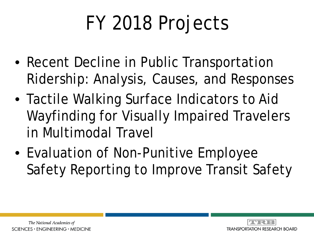# FY 2018 Projects

- Recent Decline in Public Transportation Ridership: Analysis, Causes, and Responses
- Tactile Walking Surface Indicators to Aid Wayfinding for Visually Impaired Travelers in Multimodal Travel
- Evaluation of Non-Punitive Employee Safety Reporting to Improve Transit Safety

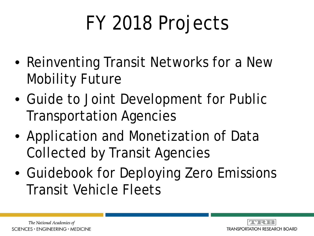# FY 2018 Projects

- Reinventing Transit Networks for a New Mobility Future
- Guide to Joint Development for Public Transportation Agencies
- Application and Monetization of Data Collected by Transit Agencies
- Guidebook for Deploying Zero Emissions Transit Vehicle Fleets